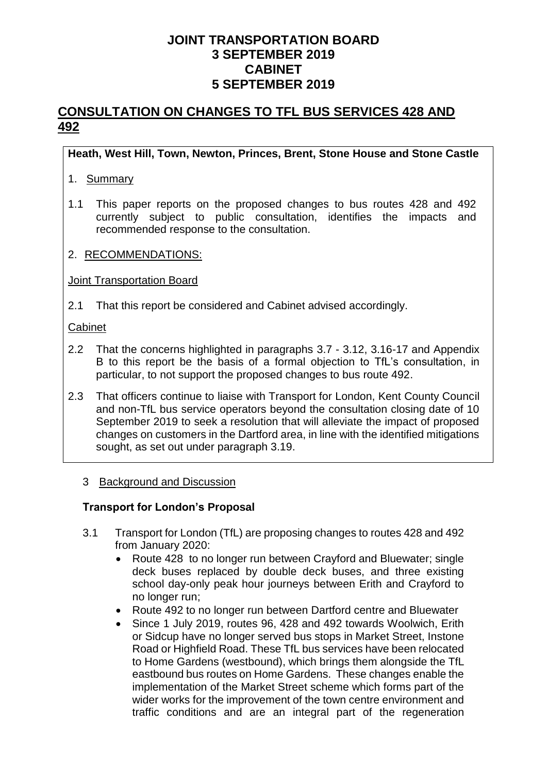# **CONSULTATION ON CHANGES TO TFL BUS SERVICES 428 AND 492**

### **Heath, West Hill, Town, Newton, Princes, Brent, Stone House and Stone Castle**

#### 1. Summary

- 1.1 This paper reports on the proposed changes to bus routes 428 and 492 currently subject to public consultation, identifies the impacts and recommended response to the consultation.
- 2. RECOMMENDATIONS:

#### Joint Transportation Board

2.1 That this report be considered and Cabinet advised accordingly.

#### Cabinet

- 2.2 That the concerns highlighted in paragraphs 3.7 3.12, 3.16-17 and Appendix B to this report be the basis of a formal objection to TfL's consultation, in particular, to not support the proposed changes to bus route 492.
- 2.3 That officers continue to liaise with Transport for London, Kent County Council and non-TfL bus service operators beyond the consultation closing date of 10 September 2019 to seek a resolution that will alleviate the impact of proposed changes on customers in the Dartford area, in line with the identified mitigations sought, as set out under paragraph 3.19.

#### 3 Background and Discussion

#### **Transport for London's Proposal**

- 3.1 Transport for London (TfL) are proposing changes to routes 428 and 492 from January 2020:
	- Route 428 to no longer run between Crayford and Bluewater: single deck buses replaced by double deck buses, and three existing school day-only peak hour journeys between Erith and Crayford to no longer run;
	- Route 492 to no longer run between Dartford centre and Bluewater
	- Since 1 July 2019, routes 96, 428 and 492 towards Woolwich, Erith or Sidcup have no longer served bus stops in Market Street, Instone Road or Highfield Road. These TfL bus services have been relocated to Home Gardens (westbound), which brings them alongside the TfL eastbound bus routes on Home Gardens. These changes enable the implementation of the Market Street scheme which forms part of the wider works for the improvement of the town centre environment and traffic conditions and are an integral part of the regeneration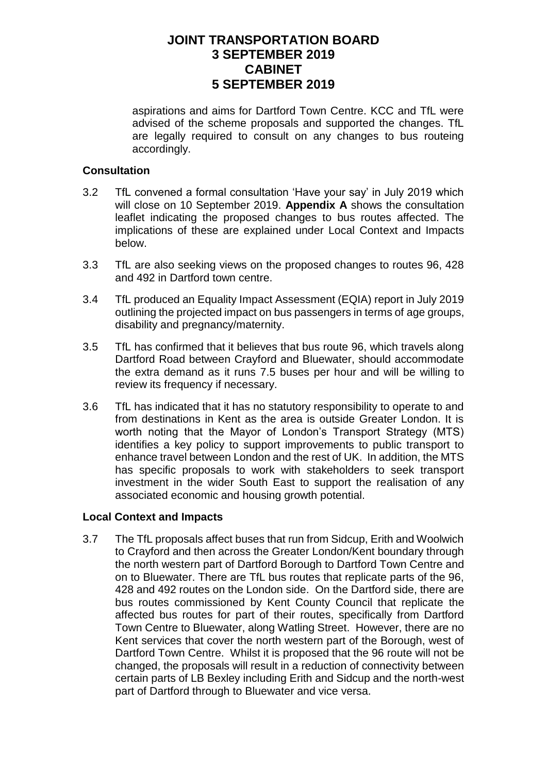aspirations and aims for Dartford Town Centre. KCC and TfL were advised of the scheme proposals and supported the changes. TfL are legally required to consult on any changes to bus routeing accordingly.

#### **Consultation**

- 3.2 TfL convened a formal consultation 'Have your say' in July 2019 which will close on 10 September 2019. **Appendix A** shows the consultation leaflet indicating the proposed changes to bus routes affected. The implications of these are explained under Local Context and Impacts below.
- 3.3 TfL are also seeking views on the proposed changes to routes 96, 428 and 492 in Dartford town centre.
- 3.4 TfL produced an Equality Impact Assessment (EQIA) report in July 2019 outlining the projected impact on bus passengers in terms of age groups, disability and pregnancy/maternity.
- 3.5 TfL has confirmed that it believes that bus route 96, which travels along Dartford Road between Crayford and Bluewater, should accommodate the extra demand as it runs 7.5 buses per hour and will be willing to review its frequency if necessary.
- 3.6 TfL has indicated that it has no statutory responsibility to operate to and from destinations in Kent as the area is outside Greater London. It is worth noting that the Mayor of London's Transport Strategy (MTS) identifies a key policy to support improvements to public transport to enhance travel between London and the rest of UK. In addition, the MTS has specific proposals to work with stakeholders to seek transport investment in the wider South East to support the realisation of any associated economic and housing growth potential.

#### **Local Context and Impacts**

3.7 The TfL proposals affect buses that run from Sidcup, Erith and Woolwich to Crayford and then across the Greater London/Kent boundary through the north western part of Dartford Borough to Dartford Town Centre and on to Bluewater. There are TfL bus routes that replicate parts of the 96, 428 and 492 routes on the London side. On the Dartford side, there are bus routes commissioned by Kent County Council that replicate the affected bus routes for part of their routes, specifically from Dartford Town Centre to Bluewater, along Watling Street. However, there are no Kent services that cover the north western part of the Borough, west of Dartford Town Centre. Whilst it is proposed that the 96 route will not be changed, the proposals will result in a reduction of connectivity between certain parts of LB Bexley including Erith and Sidcup and the north-west part of Dartford through to Bluewater and vice versa.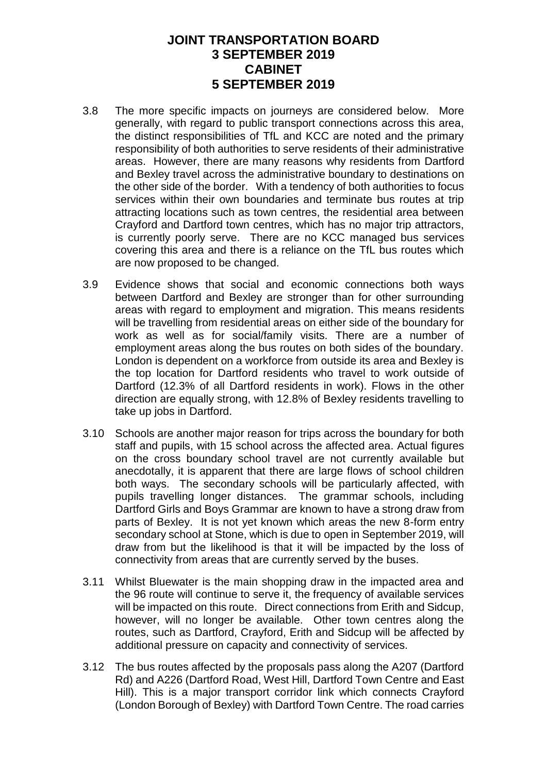- 3.8 The more specific impacts on journeys are considered below. More generally, with regard to public transport connections across this area, the distinct responsibilities of TfL and KCC are noted and the primary responsibility of both authorities to serve residents of their administrative areas. However, there are many reasons why residents from Dartford and Bexley travel across the administrative boundary to destinations on the other side of the border. With a tendency of both authorities to focus services within their own boundaries and terminate bus routes at trip attracting locations such as town centres, the residential area between Crayford and Dartford town centres, which has no major trip attractors, is currently poorly serve. There are no KCC managed bus services covering this area and there is a reliance on the TfL bus routes which are now proposed to be changed.
- 3.9 Evidence shows that social and economic connections both ways between Dartford and Bexley are stronger than for other surrounding areas with regard to employment and migration. This means residents will be travelling from residential areas on either side of the boundary for work as well as for social/family visits. There are a number of employment areas along the bus routes on both sides of the boundary. London is dependent on a workforce from outside its area and Bexley is the top location for Dartford residents who travel to work outside of Dartford (12.3% of all Dartford residents in work). Flows in the other direction are equally strong, with 12.8% of Bexley residents travelling to take up jobs in Dartford.
- 3.10 Schools are another major reason for trips across the boundary for both staff and pupils, with 15 school across the affected area. Actual figures on the cross boundary school travel are not currently available but anecdotally, it is apparent that there are large flows of school children both ways. The secondary schools will be particularly affected, with pupils travelling longer distances. The grammar schools, including Dartford Girls and Boys Grammar are known to have a strong draw from parts of Bexley. It is not yet known which areas the new 8-form entry secondary school at Stone, which is due to open in September 2019, will draw from but the likelihood is that it will be impacted by the loss of connectivity from areas that are currently served by the buses.
- 3.11 Whilst Bluewater is the main shopping draw in the impacted area and the 96 route will continue to serve it, the frequency of available services will be impacted on this route. Direct connections from Erith and Sidcup, however, will no longer be available. Other town centres along the routes, such as Dartford, Crayford, Erith and Sidcup will be affected by additional pressure on capacity and connectivity of services.
- 3.12 The bus routes affected by the proposals pass along the A207 (Dartford Rd) and A226 (Dartford Road, West Hill, Dartford Town Centre and East Hill). This is a major transport corridor link which connects Crayford (London Borough of Bexley) with Dartford Town Centre. The road carries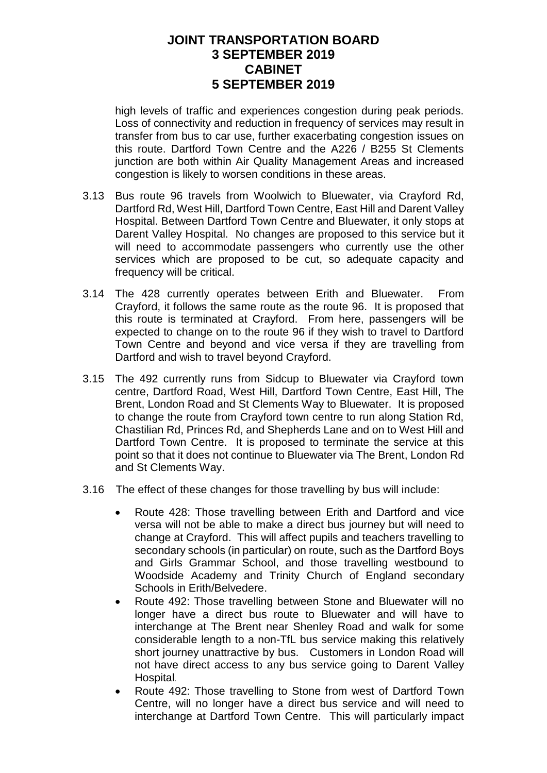high levels of traffic and experiences congestion during peak periods. Loss of connectivity and reduction in frequency of services may result in transfer from bus to car use, further exacerbating congestion issues on this route. Dartford Town Centre and the A226 / B255 St Clements junction are both within Air Quality Management Areas and increased congestion is likely to worsen conditions in these areas.

- 3.13 Bus route 96 travels from Woolwich to Bluewater, via Crayford Rd, Dartford Rd, West Hill, Dartford Town Centre, East Hill and Darent Valley Hospital. Between Dartford Town Centre and Bluewater, it only stops at Darent Valley Hospital. No changes are proposed to this service but it will need to accommodate passengers who currently use the other services which are proposed to be cut, so adequate capacity and frequency will be critical.
- 3.14 The 428 currently operates between Erith and Bluewater. From Crayford, it follows the same route as the route 96. It is proposed that this route is terminated at Crayford. From here, passengers will be expected to change on to the route 96 if they wish to travel to Dartford Town Centre and beyond and vice versa if they are travelling from Dartford and wish to travel beyond Crayford.
- 3.15 The 492 currently runs from Sidcup to Bluewater via Crayford town centre, Dartford Road, West Hill, Dartford Town Centre, East Hill, The Brent, London Road and St Clements Way to Bluewater. It is proposed to change the route from Crayford town centre to run along Station Rd, Chastilian Rd, Princes Rd, and Shepherds Lane and on to West Hill and Dartford Town Centre. It is proposed to terminate the service at this point so that it does not continue to Bluewater via The Brent, London Rd and St Clements Way.
- 3.16 The effect of these changes for those travelling by bus will include:
	- Route 428: Those travelling between Erith and Dartford and vice versa will not be able to make a direct bus journey but will need to change at Crayford. This will affect pupils and teachers travelling to secondary schools (in particular) on route, such as the Dartford Boys and Girls Grammar School, and those travelling westbound to Woodside Academy and Trinity Church of England secondary Schools in Erith/Belvedere.
	- Route 492: Those travelling between Stone and Bluewater will no longer have a direct bus route to Bluewater and will have to interchange at The Brent near Shenley Road and walk for some considerable length to a non-TfL bus service making this relatively short journey unattractive by bus. Customers in London Road will not have direct access to any bus service going to Darent Valley Hospital.
	- Route 492: Those travelling to Stone from west of Dartford Town Centre, will no longer have a direct bus service and will need to interchange at Dartford Town Centre. This will particularly impact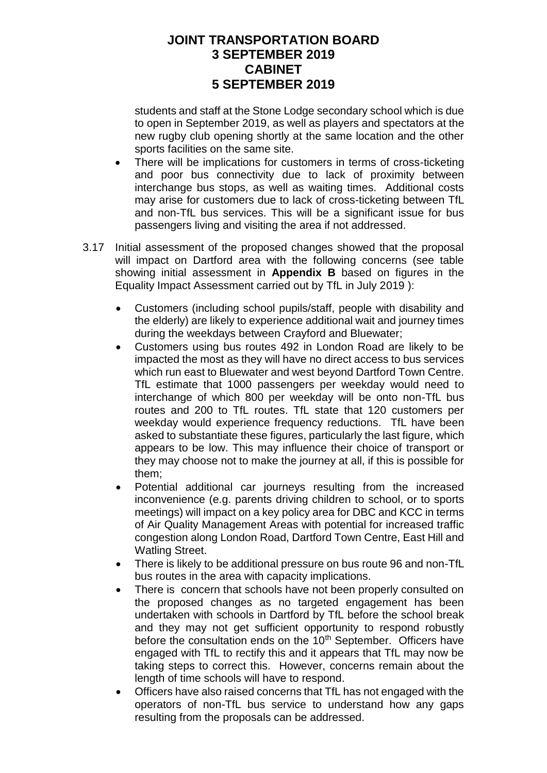students and staff at the Stone Lodge secondary school which is due to open in September 2019, as well as players and spectators at the new rugby club opening shortly at the same location and the other sports facilities on the same site.

- There will be implications for customers in terms of cross-ticketing and poor bus connectivity due to lack of proximity between interchange bus stops, as well as waiting times. Additional costs may arise for customers due to lack of cross-ticketing between TfL and non-TfL bus services. This will be a significant issue for bus passengers living and visiting the area if not addressed.
- 3.17 Initial assessment of the proposed changes showed that the proposal will impact on Dartford area with the following concerns (see table showing initial assessment in **Appendix B** based on figures in the Equality Impact Assessment carried out by TfL in July 2019 ):
	- Customers (including school pupils/staff, people with disability and the elderly) are likely to experience additional wait and journey times during the weekdays between Crayford and Bluewater;
	- Customers using bus routes 492 in London Road are likely to be impacted the most as they will have no direct access to bus services which run east to Bluewater and west beyond Dartford Town Centre. TfL estimate that 1000 passengers per weekday would need to interchange of which 800 per weekday will be onto non-TfL bus routes and 200 to TfL routes. TfL state that 120 customers per weekday would experience frequency reductions. TfL have been asked to substantiate these figures, particularly the last figure, which appears to be low. This may influence their choice of transport or they may choose not to make the journey at all, if this is possible for them;
	- Potential additional car journeys resulting from the increased inconvenience (e.g. parents driving children to school, or to sports meetings) will impact on a key policy area for DBC and KCC in terms of Air Quality Management Areas with potential for increased traffic congestion along London Road, Dartford Town Centre, East Hill and Watling Street.
	- There is likely to be additional pressure on bus route 96 and non-TfL bus routes in the area with capacity implications.
	- There is concern that schools have not been properly consulted on the proposed changes as no targeted engagement has been undertaken with schools in Dartford by TfL before the school break and they may not get sufficient opportunity to respond robustly before the consultation ends on the 10<sup>th</sup> September. Officers have engaged with TfL to rectify this and it appears that TfL may now be taking steps to correct this. However, concerns remain about the length of time schools will have to respond.
	- Officers have also raised concerns that TfL has not engaged with the operators of non-TfL bus service to understand how any gaps resulting from the proposals can be addressed.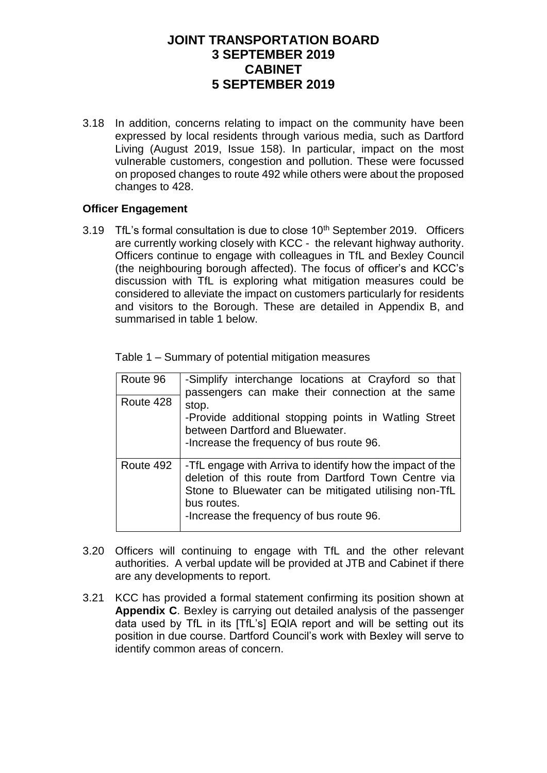3.18 In addition, concerns relating to impact on the community have been expressed by local residents through various media, such as Dartford Living (August 2019, Issue 158). In particular, impact on the most vulnerable customers, congestion and pollution. These were focussed on proposed changes to route 492 while others were about the proposed changes to 428.

#### **Officer Engagement**

3.19 TfL's formal consultation is due to close 10<sup>th</sup> September 2019. Officers are currently working closely with KCC - the relevant highway authority. Officers continue to engage with colleagues in TfL and Bexley Council (the neighbouring borough affected). The focus of officer's and KCC's discussion with TfL is exploring what mitigation measures could be considered to alleviate the impact on customers particularly for residents and visitors to the Borough. These are detailed in Appendix B, and summarised in table 1 below.

| Route 96  | -Simplify interchange locations at Crayford so that<br>passengers can make their connection at the same                                                                                                                               |
|-----------|---------------------------------------------------------------------------------------------------------------------------------------------------------------------------------------------------------------------------------------|
| Route 428 | stop.<br>-Provide additional stopping points in Watling Street<br>between Dartford and Bluewater.<br>-Increase the frequency of bus route 96.                                                                                         |
| Route 492 | -TfL engage with Arriva to identify how the impact of the<br>deletion of this route from Dartford Town Centre via<br>Stone to Bluewater can be mitigated utilising non-TfL<br>bus routes.<br>-Increase the frequency of bus route 96. |

- 3.20 Officers will continuing to engage with TfL and the other relevant authorities. A verbal update will be provided at JTB and Cabinet if there are any developments to report.
- 3.21 KCC has provided a formal statement confirming its position shown at **Appendix C**. Bexley is carrying out detailed analysis of the passenger data used by TfL in its [TfL's] EQIA report and will be setting out its position in due course. Dartford Council's work with Bexley will serve to identify common areas of concern.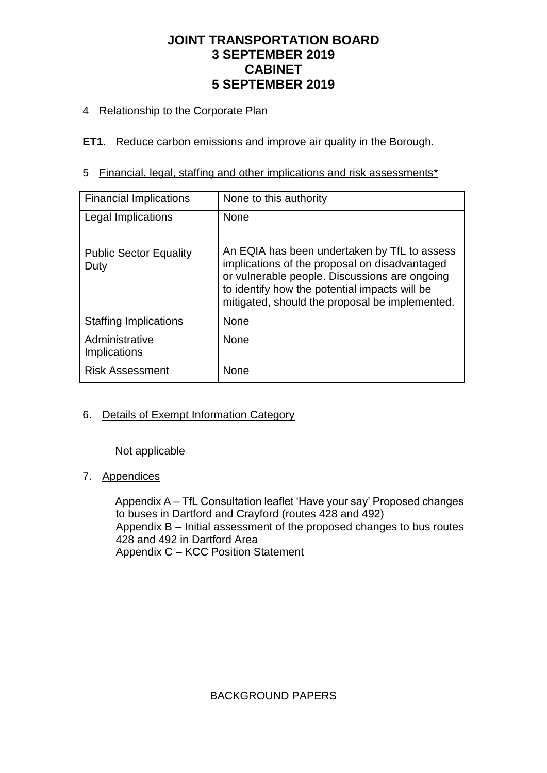## 4 Relationship to the Corporate Plan

**ET1**. Reduce carbon emissions and improve air quality in the Borough.

5 Financial, legal, staffing and other implications and risk assessments\*

| <b>Financial Implications</b>         | None to this authority                                                                                                                                                                                                                            |
|---------------------------------------|---------------------------------------------------------------------------------------------------------------------------------------------------------------------------------------------------------------------------------------------------|
| Legal Implications                    | <b>None</b>                                                                                                                                                                                                                                       |
| <b>Public Sector Equality</b><br>Duty | An EQIA has been undertaken by TfL to assess<br>implications of the proposal on disadvantaged<br>or vulnerable people. Discussions are ongoing<br>to identify how the potential impacts will be<br>mitigated, should the proposal be implemented. |
| <b>Staffing Implications</b>          | <b>None</b>                                                                                                                                                                                                                                       |
| Administrative<br>Implications        | <b>None</b>                                                                                                                                                                                                                                       |
| <b>Risk Assessment</b>                | <b>None</b>                                                                                                                                                                                                                                       |

## 6. Details of Exempt Information Category

Not applicable

### 7. Appendices

Appendix A – TfL Consultation leaflet 'Have your say' Proposed changes to buses in Dartford and Crayford (routes 428 and 492) Appendix B – Initial assessment of the proposed changes to bus routes 428 and 492 in Dartford Area Appendix C – KCC Position Statement